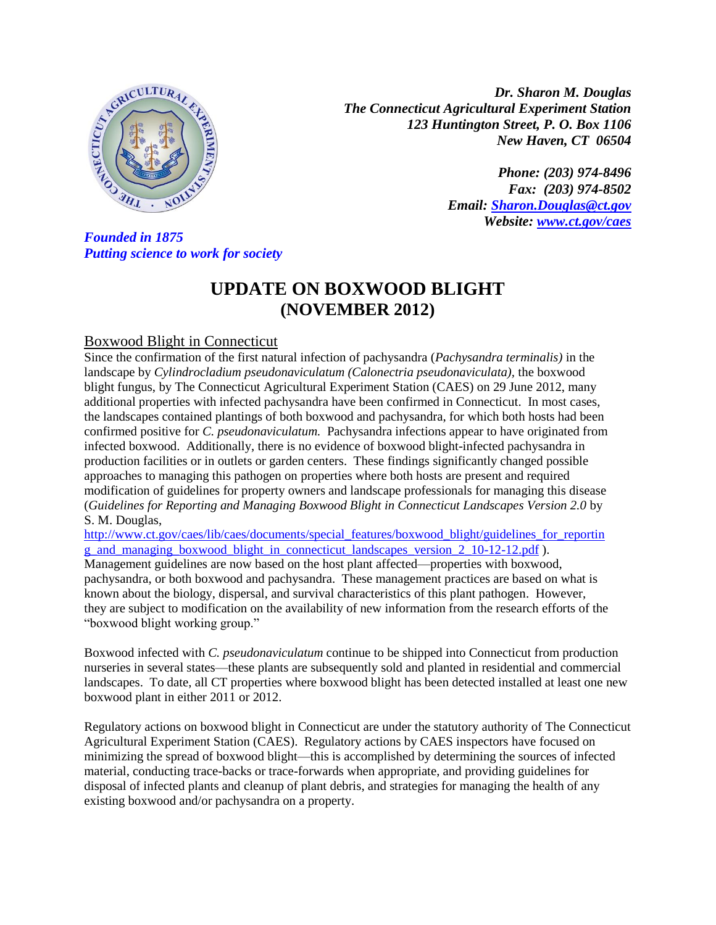

*Dr. Sharon M. Douglas The Connecticut Agricultural Experiment Station 123 Huntington Street, P. O. Box 1106 New Haven, CT 06504*

> *Phone: (203) 974-8496 Fax: (203) 974-8502 Email: [Sharon.Douglas@ct.gov](mailto:Sharon.Douglas@ct.gov) Website: [www.ct.gov/caes](http://www.ct.gov/caes)*

*Putting science to work for society*

## **UPDATE ON BOXWOOD BLIGHT (NOVEMBER 2012)**

## Boxwood Blight in Connecticut

Since the confirmation of the first natural infection of pachysandra (*Pachysandra terminalis)* in the landscape by *Cylindrocladium pseudonaviculatum (Calonectria pseudonaviculata),* the boxwood blight fungus, by The Connecticut Agricultural Experiment Station (CAES) on 29 June 2012, many additional properties with infected pachysandra have been confirmed in Connecticut. In most cases, the landscapes contained plantings of both boxwood and pachysandra, for which both hosts had been confirmed positive for *C. pseudonaviculatum.* Pachysandra infections appear to have originated from infected boxwood. Additionally, there is no evidence of boxwood blight-infected pachysandra in production facilities or in outlets or garden centers. These findings significantly changed possible approaches to managing this pathogen on properties where both hosts are present and required modification of guidelines for property owners and landscape professionals for managing this disease (*Guidelines for Reporting and Managing Boxwood Blight in Connecticut Landscapes Version 2.0* by S. M. Douglas,

[http://www.ct.gov/caes/lib/caes/documents/special\\_features/boxwood\\_blight/guidelines\\_for\\_reportin](http://www.ct.gov/caes/lib/caes/documents/special_features/boxwood_blight/guidelines_for_reporting_and_managing_boxwood_blight_in_connecticut_landscapes_version_2_10-12-12.pdf) [g\\_and\\_managing\\_boxwood\\_blight\\_in\\_connecticut\\_landscapes\\_version\\_2\\_10-12-12.pdf](http://www.ct.gov/caes/lib/caes/documents/special_features/boxwood_blight/guidelines_for_reporting_and_managing_boxwood_blight_in_connecticut_landscapes_version_2_10-12-12.pdf) ). Management guidelines are now based on the host plant affected—properties with boxwood, pachysandra, or both boxwood and pachysandra. These management practices are based on what is known about the biology, dispersal, and survival characteristics of this plant pathogen. However, they are subject to modification on the availability of new information from the research efforts of the "boxwood blight working group."

Boxwood infected with *C. pseudonaviculatum* continue to be shipped into Connecticut from production nurseries in several states—these plants are subsequently sold and planted in residential and commercial landscapes. To date, all CT properties where boxwood blight has been detected installed at least one new boxwood plant in either 2011 or 2012.

Regulatory actions on boxwood blight in Connecticut are under the statutory authority of The Connecticut Agricultural Experiment Station (CAES). Regulatory actions by CAES inspectors have focused on minimizing the spread of boxwood blight—this is accomplished by determining the sources of infected material, conducting trace-backs or trace-forwards when appropriate, and providing guidelines for disposal of infected plants and cleanup of plant debris, and strategies for managing the health of any existing boxwood and/or pachysandra on a property.